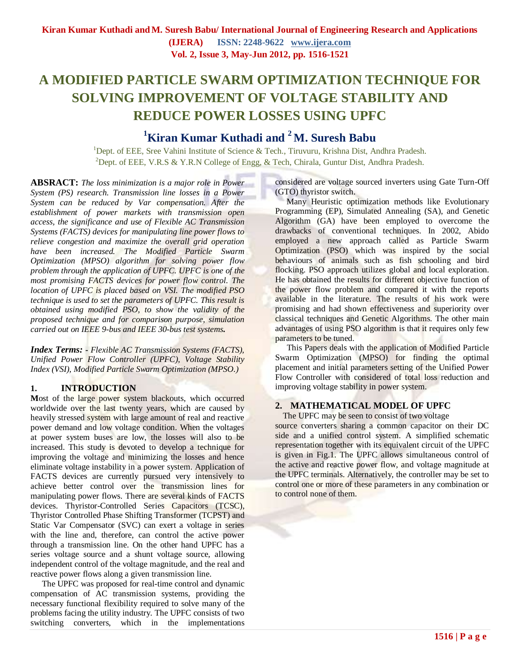**(IJERA) ISSN: 2248-9622 [www.ijera.com](http://www.ijera.com/) Vol. 2, Issue 3, May-Jun 2012, pp. 1516-1521**

# **A MODIFIED PARTICLE SWARM OPTIMIZATION TECHNIQUE FOR SOLVING IMPROVEMENT OF VOLTAGE STABILITY AND REDUCE POWER LOSSES USING UPFC**

# **<sup>1</sup>Kiran Kumar Kuthadi and <sup>2</sup> M. Suresh Babu**

<sup>1</sup>Dept. of EEE, Sree Vahini Institute of Science & Tech., Tiruvuru, Krishna Dist, Andhra Pradesh. <sup>2</sup>Dept. of EEE, V.R.S & Y.R.N College of Engg, & Tech, Chirala, Guntur Dist, Andhra Pradesh.

**ABSRACT:** *The loss minimization is a major role in Power System (PS) research. Transmission line losses in a Power System can be reduced by Var compensation. After the establishment of power markets with transmission open access, the significance and use of Flexible AC Transmission Systems (FACTS) devices for manipulating line power flows to relieve congestion and maximize the overall grid operation have been increased. The Modified Particle Swarm Optimization (MPSO) algorithm for solving power flow problem through the application of UPFC. UPFC is one of the most promising FACTS devices for power flow control. The location of UPFC is placed based on VSI. The modified PSO technique is used to set the parameters of UPFC. This result is obtained using modified PSO, to show the validity of the proposed technique and for comparison purpose, simulation carried out on IEEE 9-bus and IEEE 30-bus test systems.* 

*Index Terms: - Flexible AC Transmission Systems (FACTS), Unified Power Flow Controller (UPFC), Voltage Stability Index (VSI), Modified Particle Swarm Optimization (MPSO.)*

## **1. INTRODUCTION**

Most of the large power system blackouts, which occurred worldwide over the last twenty years, which are caused by heavily stressed system with large amount of real and reactive power demand and low voltage condition. When the voltages at power system buses are low, the losses will also to be increased. This study is devoted to develop a technique for improving the voltage and minimizing the losses and hence eliminate voltage instability in a power system. Application of FACTS devices are currently pursued very intensively to achieve better control over the transmission lines for manipulating power flows. There are several kinds of FACTS devices. Thyristor-Controlled Series Capacitors (TCSC), Thyristor Controlled Phase Shifting Transformer (TCPST) and Static Var Compensator (SVC) can exert a voltage in series with the line and, therefore, can control the active power through a transmission line. On the other hand UPFC has a series voltage source and a shunt voltage source, allowing independent control of the voltage magnitude, and the real and reactive power flows along a given transmission line.

The UPFC was proposed for real-time control and dynamic compensation of AC transmission systems, providing the necessary functional flexibility required to solve many of the problems facing the utility industry. The UPFC consists of two switching converters, which in the implementations

considered are voltage sourced inverters using Gate Turn-Off (GTO) thyristor switch.

Many Heuristic optimization methods like Evolutionary Programming (EP), Simulated Annealing (SA), and Genetic Algorithm (GA) have been employed to overcome the drawbacks of conventional techniques. In 2002, Abido employed a new approach called as Particle Swarm Optimization (PSO) which was inspired by the social behaviours of animals such as fish schooling and bird flocking. PSO approach utilizes global and local exploration. He has obtained the results for different objective function of the power flow problem and compared it with the reports available in the literature. The results of his work were promising and had shown effectiveness and superiority over classical techniques and Genetic Algorithms. The other main advantages of using PSO algorithm is that it requires only few parameters to be tuned.

This Papers deals with the application of Modified Particle Swarm Optimization (MPSO) for finding the optimal placement and initial parameters setting of the Unified Power Flow Controller with considered of total loss reduction and improving voltage stability in power system.

# **2. MATHEMATICAL MODEL OF UPFC**

The UPFC may be seen to consist of two voltage source converters sharing a common capacitor on their DC side and a unified control system. A simplified schematic representation together with its equivalent circuit of the UPFC is given in Fig.1. The UPFC allows simultaneous control of the active and reactive power flow, and voltage magnitude at the UPFC terminals. Alternatively, the controller may be set to control one or more of these parameters in any combination or to control none of them.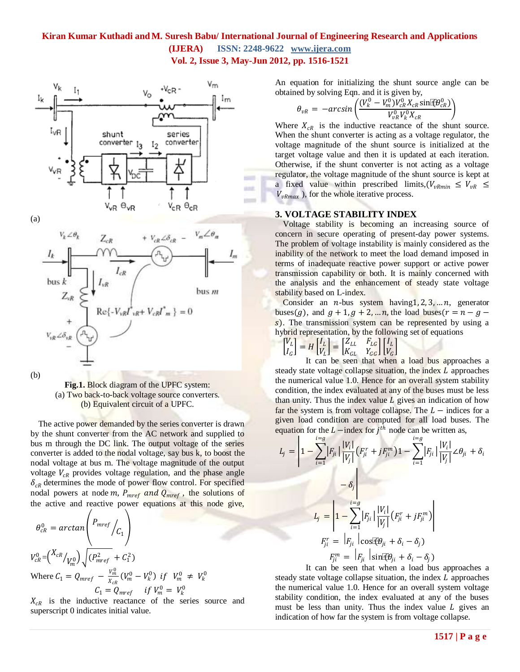

 $+ \ V_{cR} \angle \delta_{cR} \ = \ V_m \angle \theta_m$  $V_k \angle \theta_k$  $Z_{cR}$  $I_m$  $I_{cR}$  $bus k$  $bus<sub>m</sub>$  $\text{Re}\{-V_{vR}I^*_{vR}+V_{cR}I^*_{m}\}=0$  $V_{vR} \angle \delta_{vR}$ 

(b)

**Fig.1.** Block diagram of the UPFC system: (a) Two back-to-back voltage source converters. (b) Equivalent circuit of a UPFC.

The active power demanded by the series converter is drawn by the shunt converter from the AC network and supplied to bus m through the DC link. The output voltage of the series converter is added to the nodal voltage, say bus k, to boost the nodal voltage at bus m. The voltage magnitude of the output voltage  $V_{CR}$  provides voltage regulation, and the phase angle  $\delta_{cR}$  determines the mode of power flow control. For specified nodal powers at node m,  $P_{mref}$  and  $Q_{mref}$ , the solutions of the active and reactive power equations at this node give,

$$
\theta_{cR}^{0} = \arctan\left(\frac{P_{mref}}{C_1}\right)
$$
\n
$$
V_{cR}^{0} = \left(\frac{X_{cR}}{V_m^0}\right)\sqrt{\left(P_{mref}^2 + C_1^2\right)}
$$
\nWhere  $C_1 = Q_{mref} - \frac{V_m^0}{X_{cR}}\left(V_m^0 - V_k^0\right)$  if  $V_m^0 \neq V_k^0$ 

\n
$$
C_1 = Q_{mref} \quad \text{if } V_m^0 = V_k^0
$$

 $X_{cR}$  is the inductive reactance of the series source and superscript 0 indicates initial value.

An equation for initializing the shunt source angle can be obtained by solving Eqn. and it is given by,

$$
\theta_{vR} = -\arcsin\left(\frac{(V_k^0 - V_m^0)V_{cR}^0 X_{cR} \sin \ddot{\epsilon} \theta_{cR}^0}{V_{vR}^0 V_k^0 X_{cR}}\right)
$$

Where  $X_{cR}$  is the inductive reactance of the shunt source. When the shunt converter is acting as a voltage regulator, the voltage magnitude of the shunt source is initialized at the target voltage value and then it is updated at each iteration. Otherwise, if the shunt converter is not acting as a voltage regulator, the voltage magnitude of the shunt source is kept at a fixed value within prescribed limits,  $(V_{vRmin} \leq V_{vR} \leq$  $V_{vRmax}$ ), for the whole iterative process.

#### **3. VOLTAGE STABILITY INDEX**

Voltage stability is becoming an increasing source of concern in secure operating of present-day power systems. The problem of voltage instability is mainly considered as the inability of the network to meet the load demand imposed in terms of inadequate reactive power support or active power transmission capability or both. It is mainly concerned with the analysis and the enhancement of steady state voltage stability based on L-index.

Consider an  $n$ -bus system having  $1, 2, 3, \ldots n$ , generator buses(g), and  $g + 1$ ,  $g + 2$ , ... n, the load buses( $r = n - g$  – s). The transmission system can be represented by using a hybrid representation, by the following set of equations

$$
\begin{bmatrix} V_L \\ I_G \end{bmatrix} = H \begin{bmatrix} I_L \\ V_L \end{bmatrix} = \begin{bmatrix} Z_{LL} & F_{LG} \\ K_{GL} & Y_{GG} \end{bmatrix} \begin{bmatrix} I_L \\ V_G \end{bmatrix}
$$

It can be seen that when a load bus approaches a steady state voltage collapse situation, the index  $L$  approaches the numerical value 1.0. Hence for an overall system stability condition, the index evaluated at any of the buses must be less than unity. Thus the index value  $L$  gives an indication of how far the system is from voltage collapse. The  $L$  – indices for a given load condition are computed for all load buses. The equation for the  $L$  –index for  $j<sup>th</sup>$  node can be written as,

$$
L_{j} = \left| 1 - \sum_{i=1}^{i=g} |F_{ji}| \frac{|V_{i}|}{|V_{j}|} (F_{ji}^{r} + jF_{ji}^{m}) 1 - \sum_{i=1}^{i=g} |F_{ji}| \frac{|V_{i}|}{|V_{j}|} \angle \theta_{ji} + \delta_{i}
$$

$$
- \delta_{j} \right|
$$

$$
L_{j} = \left| 1 - \sum_{i=1}^{i=g} |F_{ji}| \frac{|V_{i}|}{|V_{j}|} (F_{ji}^{r} + jF_{ji}^{m}) \right|
$$

$$
F_{ji}^{r} = |F_{ji}| \cos(\theta_{ji} + \delta_{i} - \delta_{j})
$$

$$
F_{ji}^{m} = |F_{ji}| \sin(\theta_{ji} + \delta_{i} - \delta_{j})
$$

It can be seen that when a load bus approaches a steady state voltage collapse situation, the index  $L$  approaches the numerical value 1.0. Hence for an overall system voltage stability condition, the index evaluated at any of the buses must be less than unity. Thus the index value  $L$  gives an indication of how far the system is from voltage collapse.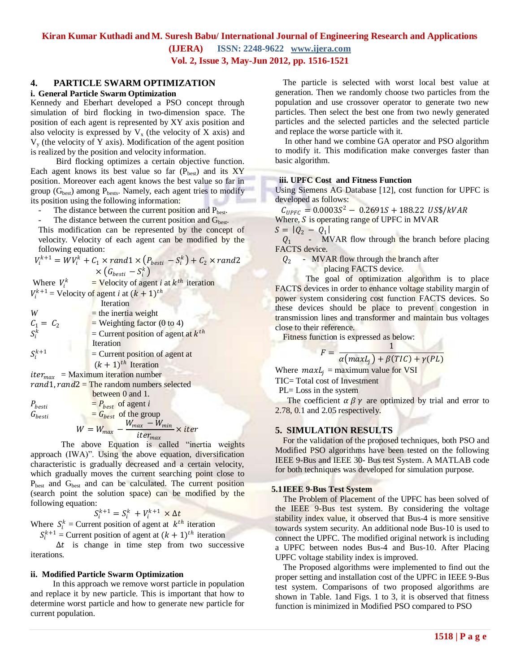## **Kiran Kumar Kuthadi andM. Suresh Babu/ International Journal of Engineering Research and Applications**

**(IJERA) ISSN: 2248-9622 [www.ijera.com](http://www.ijera.com/)**

**Vol. 2, Issue 3, May-Jun 2012, pp. 1516-1521**

## **4. PARTICLE SWARM OPTIMIZATION**

#### **i. General Particle Swarm Optimization**

Kennedy and Eberhart developed a PSO concept through simulation of bird flocking in two-dimension space. The position of each agent is represented by XY axis position and also velocity is expressed by  $V_x$  (the velocity of X axis) and  $V<sub>v</sub>$  (the velocity of Y axis). Modification of the agent position is realized by the position and velocity information.

 Bird flocking optimizes a certain objective function. Each agent knows its best value so far  $(P_{best})$  and its XY position. Moreover each agent knows the best value so far in group  $(G_{best})$  among  $P_{bests}$ . Namely, each agent tries to modify its position using the following information:

- The distance between the current position and P<sub>best</sub>.
- The distance between the current position and  $G<sub>best</sub>$ .

This modification can be represented by the concept of velocity. Velocity of each agent can be modified by the following equation:

$$
V_i^{k+1} = W V_i^k + C_1 \times rand1 \times (P_{besti} - S_i^k) + C_2 \times rand2
$$
  
×  $(G_{besti} - S_i^k)$ 

Where 
$$
V_i^k
$$
 = Velocity of agent *i* at  $k^{th}$  iteration  
 $V_i^{k+1}$  = Velocity of agent *i* at  $(k + 1)^{th}$ 

|             | Iteration                               |
|-------------|-----------------------------------------|
| W           | $=$ the inertia weight                  |
| $C_1 = C_2$ | $=$ Weighting factor (0 to 4)           |
| $S_i^k$     | = Current position of agent at $k^{th}$ |
|             | Iteration                               |
| $S_i^{k+1}$ | $=$ Current position of agent at        |
|             | $(k + 1)^{th}$ Iteration                |
|             |                                         |

 $iter_{max}$  = Maximum iteration number  $rand1, rand2 = The random numbers selected$ 

 between 0 and 1.  $P_{besti}$  =  $P_{best}$  of agent *i*  $G_{besti}$  =  $G_{best}$  of the group  $W$  $W_{max} - W_{min}$ 

$$
=W_{max}-\frac{w_{max}-w_{min}}{iter_{max}} \times iter
$$

The above Equation is called "inertia weights" approach (IWA)". Using the above equation, diversification characteristic is gradually decreased and a certain velocity, which gradually moves the current searching point close to P<sub>best</sub> and G<sub>best</sub> and can be calculated. The current position (search point the solution space) can be modified by the following equation:

 $S_i^{k+1} = S_i^k + V_i^{k+1} \times \Delta t$ 

Where  $S_i^k$  = Current position of agent at  $k^{th}$  iteration

 $S_i^{k+1}$  = Current position of agent at  $(k + 1)^{th}$  iteration

 $\Delta t$  is change in time step from two successive iterations.

#### **ii. Modified Particle Swarm Optimization**

 In this approach we remove worst particle in population and replace it by new particle. This is important that how to determine worst particle and how to generate new particle for current population.

The particle is selected with worst local best value at generation. Then we randomly choose two particles from the population and use crossover operator to generate two new particles. Then select the best one from two newly generated particles and the selected particles and the selected particle and replace the worse particle with it.

In other hand we combine GA operator and PSO algorithm to modify it. This modification make converges faster than basic algorithm.

#### **iii. UPFC Cost and Fitness Function**

Using Siemens AG Database [12], cost function for UPFC is developed as follows:

 $C_{UPFC} = 0.0003S^2 - 0.2691S + 188.22$  US\$/kVAR

Where,  $S$  is operating range of UPFC in MVAR

 $S = |Q_2 - Q_1|$ 

 $Q_1$  -MVAR flow through the branch before placing FACTS device.

 $Q_2$  - MVAR flow through the branch after

placing FACTS device.

The goal of optimization algorithm is to place FACTS devices in order to enhance voltage stability margin of power system considering cost function FACTS devices. So these devices should be place to prevent congestion in transmission lines and transformer and maintain bus voltages close to their reference.

Fitness function is expressed as below: 1

$$
F = \frac{1}{\alpha \left( maxL_j \right) + \beta \left( TIC \right) + \gamma \left( PL \right)}
$$

Where  $maxL_i =$  maximum value for VSI

TIC= Total cost of Investment

PL= Loss in the system

The coefficient  $\alpha \beta \gamma$  are optimized by trial and error to 2.78, 0.1 and 2.05 respectively.

#### **5. SIMULATION RESULTS**

For the validation of the proposed techniques, both PSO and Modified PSO algorithms have been tested on the following IEEE 9-Bus and IEEE 30- Bus test System. A MATLAB code for both techniques was developed for simulation purpose.

#### **5.1IEEE 9-Bus Test System**

The Problem of Placement of the UPFC has been solved of the IEEE 9-Bus test system. By considering the voltage stability index value, it observed that Bus-4 is more sensitive towards system security. An additional node Bus-10 is used to connect the UPFC. The modified original network is including a UPFC between nodes Bus-4 and Bus-10. After Placing UPFC voltage stability index is improved.

The Proposed algorithms were implemented to find out the proper setting and installation cost of the UPFC in IEEE 9-Bus test system. Comparisons of two proposed algorithms are shown in Table. 1and Figs. 1 to 3, it is observed that fitness function is minimized in Modified PSO compared to PSO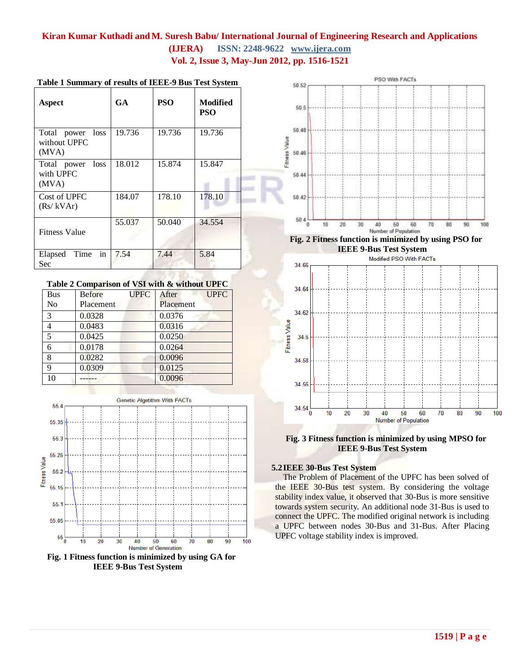| Aspect                                    | GA.    | <b>PSO</b> | Modified<br>PSO |
|-------------------------------------------|--------|------------|-----------------|
| Total power loss<br>without UPFC<br>(MVA) | 19.736 | 19.736     | 19.736          |
| loss<br>Total power<br>with UPFC<br>(MVA) | 18.012 | 15.874     | 15.847          |
| Cost of UPFC<br>(Rs/kVAr)                 | 184.07 | 178.10     | 178.10          |
| <b>Fitness Value</b>                      | 55.037 | 50.040     | 34.554          |
| in<br>Time<br>Elapsed<br>Sec              | 7.54   | 7.44       | 5.84            |

#### **Table 1 Summary of results of IEEE-9 Bus Test System**

#### **Table 2 Comparison of VSI with & without UPFC**

| <b>Bus</b>     | <b>Before</b> | <b>UPFC</b> | After     | <b>UPFC</b> |
|----------------|---------------|-------------|-----------|-------------|
| No             | Placement     |             | Placement |             |
| 3              | 0.0328        |             | 0.0376    |             |
| $\overline{4}$ | 0.0483        |             | 0.0316    |             |
| $\overline{5}$ | 0.0425        |             | 0.0250    |             |
| 6              | 0.0178        |             | 0.0264    |             |
| 8              | 0.0282        |             | 0.0096    |             |
| 9              | 0.0309        |             | 0.0125    |             |
| 10             |               |             | 0.0096    |             |



**Fig. 1 Fitness function is minimized by using GA for IEEE 9-Bus Test System**



**IEEE 9-Bus Test System**<br>Modified PSO With FACTs



**Fig. 3 Fitness function is minimized by using MPSO for IEEE 9-Bus Test System**

#### **5.2IEEE 30-Bus Test System**

The Problem of Placement of the UPFC has been solved of the IEEE 30-Bus test system. By considering the voltage stability index value, it observed that 30-Bus is more sensitive towards system security. An additional node 31-Bus is used to connect the UPFC. The modified original network is including a UPFC between nodes 30-Bus and 31-Bus. After Placing UPFC voltage stability index is improved.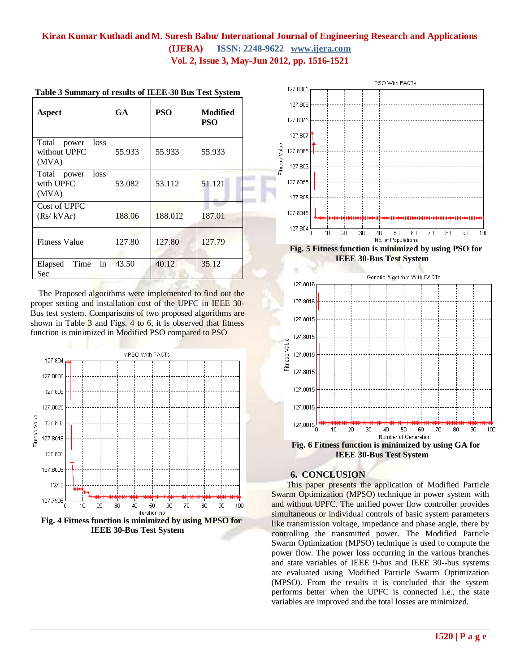| Aspect                                          | GA     | <b>PSO</b> | <b>Modified</b><br><b>PSO</b> |
|-------------------------------------------------|--------|------------|-------------------------------|
| Total<br>loss<br>power<br>without UPFC<br>(MVA) | 55.933 | 55.933     | 55.933                        |
| loss<br>Total power<br>with UPFC<br>(MVA)       | 53.082 | 53.112     | 51.121                        |
| Cost of UPFC<br>(Rs/kVAr)                       | 188.06 | 188.012    | 187.01                        |
| <b>Fitness Value</b>                            | 127.80 | 127.80     | 127.79                        |
| in<br>Time<br>Elapsed<br>Sec                    | 43.50  | 40.12      | 35.12                         |

|  |  | Table 3 Summary of results of IEEE-30 Bus Test System |
|--|--|-------------------------------------------------------|
|  |  |                                                       |

The Proposed algorithms were implemented to find out the proper setting and installation cost of the UPFC in IEEE 30- Bus test system. Comparisons of two proposed algorithms are shown in Table 3 and Figs. 4 to 6, it is observed that fitness function is minimized in Modified PSO compared to PSO



**IEEE 30-Bus Test System**



**Fig. 5 Fitness function is minimized by using PSO for IEEE 30-Bus Test System**



### **6. CONCLUSION**

This paper presents the application of Modified Particle Swarm Optimization (MPSO) technique in power system with and without UPFC. The unified power flow controller provides simultaneous or individual controls of basic system parameters like transmission voltage, impedance and phase angle, there by controlling the transmitted power. The Modified Particle Swarm Optimization (MPSO) technique is used to compute the power flow. The power loss occurring in the various branches and state variables of IEEE 9-bus and IEEE 30--bus systems are evaluated using Modified Particle Swarm Optimization (MPSO). From the results it is concluded that the system performs better when the UPFC is connected i.e., the state variables are improved and the total losses are minimized.